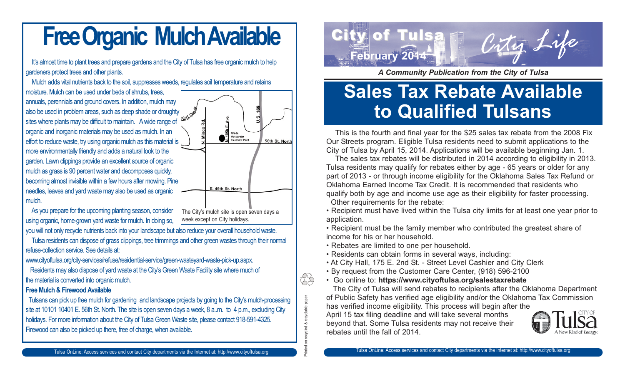## **Free Organic Mulch Available**

It's almost time to plant trees and prepare gardens and the City of Tulsa has free organic mulch to help gardeners protect trees and other plants.

Mulch adds vital nutrients back to the soil, suppresses weeds, regulates soil temperature and retains moisture. Mulch can be used under beds of shrubs, trees, annuals, perennials and ground covers. In addition, mulch may also be used in problem areas, such as deep shade or droughty sites where plants may be difficult to maintain. A wide range of Wastewater<br>Treatment Plant

organic and inorganic materials may be used as mulch. In an effort to reduce waste, try using organic mulch as this material is more environmentally friendly and adds a natural look to the garden. Lawn clippings provide an excellent source of organic mulch as grass is 90 percent water and decomposes quickly, becoming almost invisible within a few hours after mowing. Pine needles, leaves and yard waste may also be used as organic mulch.



you will not only recycle nutrients back into your landscape but also reduce your overall household waste.

Tulsa residents can dispose of grass clippings, tree trimmings and other green wastes through their normal refuse-collection service. See details at:

The City's mulch site is open seven days a

E. 46th St. North

56th St. North

week except on City holidays.

www.cityoftulsa.org/city-services/refuse/residential-service/green-wasteyard-waste-pick-up.aspx.

Residents may also dispose of yard waste at the City's Green Waste Facility site where much of the material is converted into organic mulch.

### **Free Mulch & Firewood Available**

Tulsans can pick up free mulch for gardening and landscape projects by going to the City's mulch-processing site at 10101 10401 E. 56th St. North. The site is open seven days a week, 8 a..m. to 4 p.m., excluding City holidays. For more information about the City of Tulsa Green Waste site, please contact 918-591-4325. Firewood can also be picked up there, free of charge, when available.



*A Community Publication from the City of Tulsa*

### **Sales Tax Rebate Available to Qualified Tulsans**

This is the fourth and final year for the \$25 sales tax rebate from the 2008 Fix Our Streets program. Eligible Tulsa residents need to submit applications to the City of Tulsa by April 15, 2014. Applications will be available beginning Jan. 1.

The sales tax rebates will be distributed in 2014 according to eligibility in 2013. Tulsa residents may qualify for rebates either by age - 65 years or older for any part of 2013 - or through income eligibility for the Oklahoma Sales Tax Refund or Oklahoma Earned Income Tax Credit. It is recommended that residents who qualify both by age and income use age as their eligibility for faster processing. Other requirements for the rebate:

• Recipient must have lived within the Tulsa city limits for at least one year prior to application.

• Recipient must be the family member who contributed the greatest share of income for his or her household.

• Rebates are limited to one per household.

Printed on recycled & recyclable paper

ded & recyclable paper

ŽŠ

- Residents can obtain forms in several ways, including:
- At City Hall, 175 E. 2nd St. Street Level Cashier and City Clerk
- By request from the Customer Care Center, (918) 596-2100
- Go online to: **https://www.cityoftulsa.org/salestaxrebate**

The City of Tulsa will send rebates to recipients after the Oklahoma Department of Public Safety has verified age eligibility and/or the Oklahoma Tax Commission

has verified income eligibility. This process will begin after the April 15 tax filing deadline and will take several months beyond that. Some Tulsa residents may not receive their rebates until the fall of 2014.